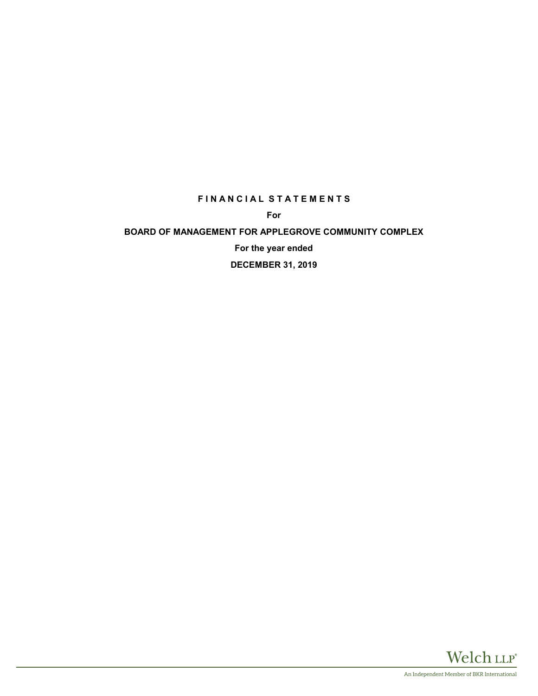## **F I N A N C I A L S T A T E M E N T S**

**For**

### **BOARD OF MANAGEMENT FOR APPLEGROVE COMMUNITY COMPLEX**

**For the year ended**

**DECEMBER 31, 2019**

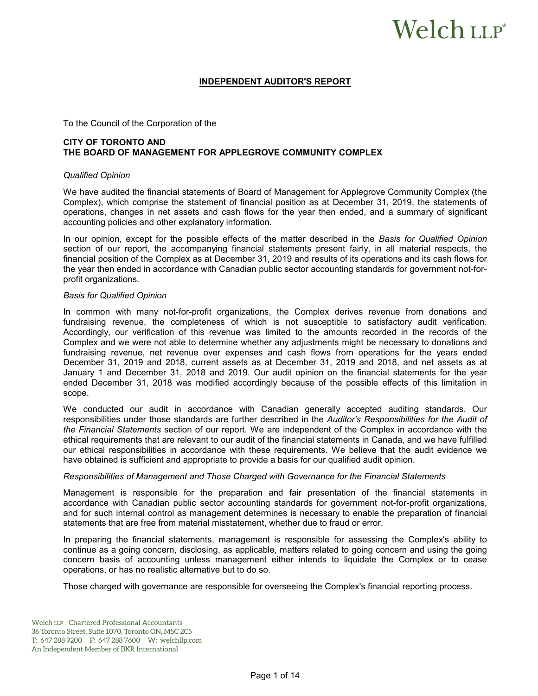# Welch LLP®

#### **INDEPENDENT AUDITOR'S REPORT**

To the Council of the Corporation of the

#### **CITY OF TORONTO AND THE BOARD OF MANAGEMENT FOR APPLEGROVE COMMUNITY COMPLEX**

#### *Qualified Opinion*

We have audited the financial statements of Board of Management for Applegrove Community Complex (the Complex), which comprise the statement of financial position as at December 31, 2019, the statements of operations, changes in net assets and cash flows for the year then ended, and a summary of significant accounting policies and other explanatory information.

In our opinion, except for the possible effects of the matter described in the *Basis for Qualified Opinion* section of our report, the accompanying financial statements present fairly, in all material respects, the financial position of the Complex as at December 31, 2019 and results of its operations and its cash flows for the year then ended in accordance with Canadian public sector accounting standards for government not-forprofit organizations.

#### *Basis for Qualified Opinion*

In common with many not-for-profit organizations, the Complex derives revenue from donations and fundraising revenue, the completeness of which is not susceptible to satisfactory audit verification. Accordingly, our verification of this revenue was limited to the amounts recorded in the records of the Complex and we were not able to determine whether any adjustments might be necessary to donations and fundraising revenue, net revenue over expenses and cash flows from operations for the years ended December 31, 2019 and 2018, current assets as at December 31, 2019 and 2018, and net assets as at January 1 and December 31, 2018 and 2019. Our audit opinion on the financial statements for the year ended December 31, 2018 was modified accordingly because of the possible effects of this limitation in scope.

We conducted our audit in accordance with Canadian generally accepted auditing standards. Our responsibilities under those standards are further described in the *Auditor's Responsibilities for the Audit of the Financial Statements* section of our report. We are independent of the Complex in accordance with the ethical requirements that are relevant to our audit of the financial statements in Canada, and we have fulfilled our ethical responsibilities in accordance with these requirements. We believe that the audit evidence we have obtained is sufficient and appropriate to provide a basis for our qualified audit opinion.

#### *Responsibilities of Management and Those Charged with Governance for the Financial Statements*

Management is responsible for the preparation and fair presentation of the financial statements in accordance with Canadian public sector accounting standards for government not-for-profit organizations, and for such internal control as management determines is necessary to enable the preparation of financial statements that are free from material misstatement, whether due to fraud or error.

In preparing the financial statements, management is responsible for assessing the Complex's ability to continue as a going concern, disclosing, as applicable, matters related to going concern and using the going concern basis of accounting unless management either intends to liquidate the Complex or to cease operations, or has no realistic alternative but to do so.

Those charged with governance are responsible for overseeing the Complex's financial reporting process.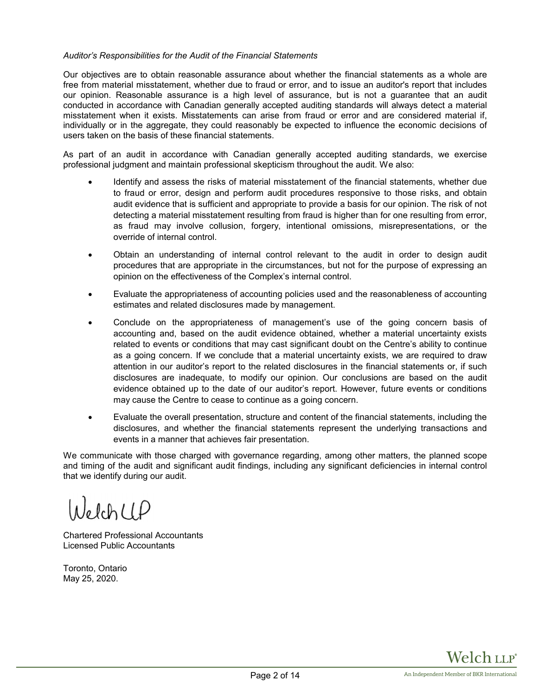#### *Auditor's Responsibilities for the Audit of the Financial Statements*

Our objectives are to obtain reasonable assurance about whether the financial statements as a whole are free from material misstatement, whether due to fraud or error, and to issue an auditor's report that includes our opinion. Reasonable assurance is a high level of assurance, but is not a guarantee that an audit conducted in accordance with Canadian generally accepted auditing standards will always detect a material misstatement when it exists. Misstatements can arise from fraud or error and are considered material if, individually or in the aggregate, they could reasonably be expected to influence the economic decisions of users taken on the basis of these financial statements.

As part of an audit in accordance with Canadian generally accepted auditing standards, we exercise professional judgment and maintain professional skepticism throughout the audit. We also:

- Identify and assess the risks of material misstatement of the financial statements, whether due to fraud or error, design and perform audit procedures responsive to those risks, and obtain audit evidence that is sufficient and appropriate to provide a basis for our opinion. The risk of not detecting a material misstatement resulting from fraud is higher than for one resulting from error, as fraud may involve collusion, forgery, intentional omissions, misrepresentations, or the override of internal control.
- Obtain an understanding of internal control relevant to the audit in order to design audit procedures that are appropriate in the circumstances, but not for the purpose of expressing an opinion on the effectiveness of the Complex's internal control.
- Evaluate the appropriateness of accounting policies used and the reasonableness of accounting estimates and related disclosures made by management.
- Conclude on the appropriateness of management's use of the going concern basis of accounting and, based on the audit evidence obtained, whether a material uncertainty exists related to events or conditions that may cast significant doubt on the Centre's ability to continue as a going concern. If we conclude that a material uncertainty exists, we are required to draw attention in our auditor's report to the related disclosures in the financial statements or, if such disclosures are inadequate, to modify our opinion. Our conclusions are based on the audit evidence obtained up to the date of our auditor's report. However, future events or conditions may cause the Centre to cease to continue as a going concern.
- Evaluate the overall presentation, structure and content of the financial statements, including the disclosures, and whether the financial statements represent the underlying transactions and events in a manner that achieves fair presentation.

We communicate with those charged with governance regarding, among other matters, the planned scope and timing of the audit and significant audit findings, including any significant deficiencies in internal control that we identify during our audit.

 $NelchUP$ 

Chartered Professional Accountants Licensed Public Accountants

Toronto, Ontario May 25, 2020.

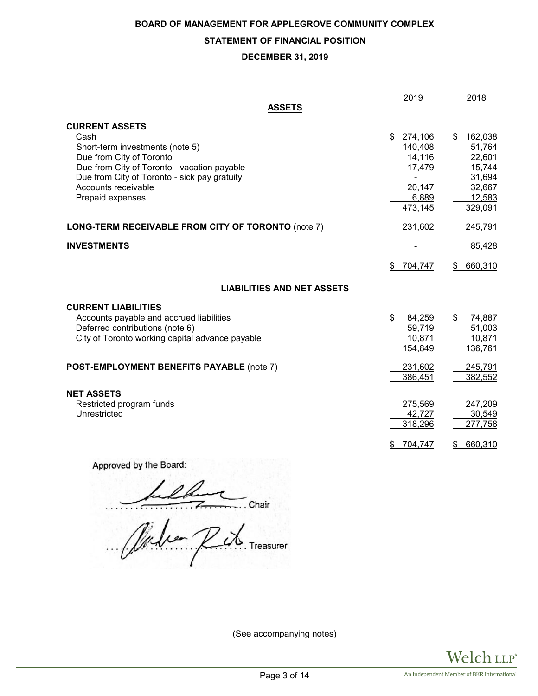## **STATEMENT OF FINANCIAL POSITION**

#### **DECEMBER 31, 2019**

| <b>ASSETS</b>                                      | 2019           | 2018          |
|----------------------------------------------------|----------------|---------------|
| <b>CURRENT ASSETS</b>                              |                |               |
| Cash                                               | \$<br>274,106  | \$<br>162,038 |
| Short-term investments (note 5)                    | 140,408        | 51,764        |
| Due from City of Toronto                           | 14,116         | 22,601        |
| Due from City of Toronto - vacation payable        | 17,479         | 15,744        |
| Due from City of Toronto - sick pay gratuity       |                | 31,694        |
| Accounts receivable                                | 20,147         | 32,667        |
| Prepaid expenses                                   | 6,889          | 12,583        |
|                                                    | 473,145        | 329,091       |
| LONG-TERM RECEIVABLE FROM CITY OF TORONTO (note 7) | 231,602        | 245,791       |
| <b>INVESTMENTS</b>                                 |                | 85,428        |
|                                                    | 704,747<br>\$  | 660,310<br>\$ |
| <b>LIABILITIES AND NET ASSETS</b>                  |                |               |
| <b>CURRENT LIABILITIES</b>                         |                |               |
| Accounts payable and accrued liabilities           | \$<br>84,259   | 74,887<br>\$  |
| Deferred contributions (note 6)                    | 59,719         | 51,003        |
| City of Toronto working capital advance payable    | 10,871         | 10,871        |
|                                                    | 154,849        | 136,761       |
| POST-EMPLOYMENT BENEFITS PAYABLE (note 7)          | 231,602        | 245,791       |
|                                                    | 386,451        | 382,552       |
| <b>NET ASSETS</b>                                  |                |               |
| Restricted program funds                           | 275,569        | 247,209       |
| Unrestricted                                       | 42,727         | 30,549        |
|                                                    | 318,296        | 277,758       |
|                                                    | 704,747<br>\$. | 660,310<br>\$ |

Approved by the Board:

elle

Police Treasurer

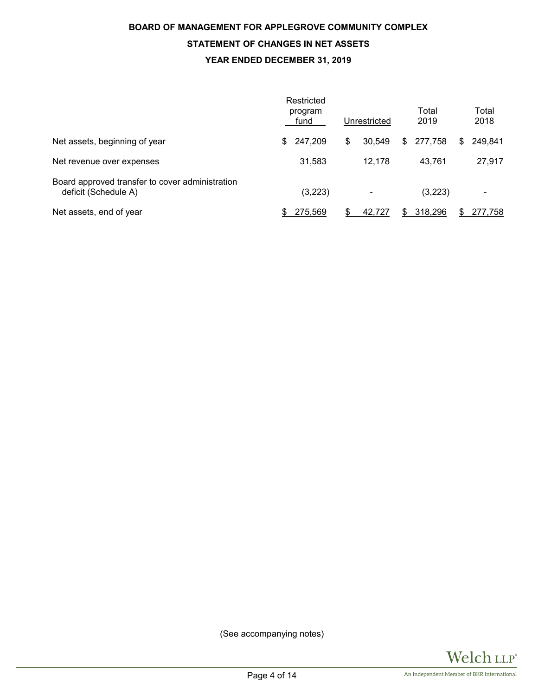# **BOARD OF MANAGEMENT FOR APPLEGROVE COMMUNITY COMPLEX STATEMENT OF CHANGES IN NET ASSETS YEAR ENDED DECEMBER 31, 2019**

|                                                                         | Restricted<br>program<br>fund | Unrestricted | Total<br>2019 | Total<br>2018 |
|-------------------------------------------------------------------------|-------------------------------|--------------|---------------|---------------|
| Net assets, beginning of year                                           | 247.209<br>S                  | \$<br>30.549 | 277.758<br>S. | 249.841<br>S  |
| Net revenue over expenses                                               | 31.583                        | 12.178       | 43,761        | 27,917        |
| Board approved transfer to cover administration<br>deficit (Schedule A) | (3,223)                       |              | (3,223)       |               |
| Net assets, end of year                                                 | 275,569<br>S                  | 42,727       | 318,296<br>S. | 277,758       |

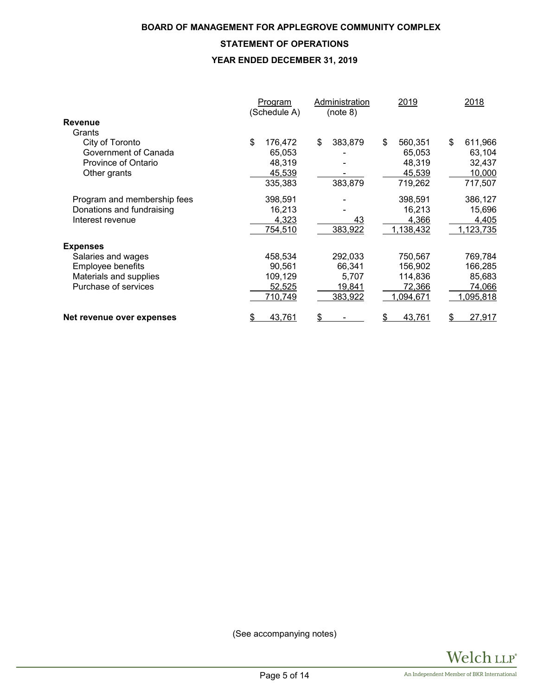## **STATEMENT OF OPERATIONS**

## **YEAR ENDED DECEMBER 31, 2019**

|                             | Program<br>(Schedule A) | Administration<br>(note 8) |               | 2018          |  |
|-----------------------------|-------------------------|----------------------------|---------------|---------------|--|
| <b>Revenue</b>              |                         |                            |               |               |  |
| Grants                      |                         |                            |               |               |  |
| City of Toronto             | \$<br>176,472           | 383,879<br>\$              | \$<br>560,351 | \$<br>611,966 |  |
| Government of Canada        | 65,053                  |                            | 65,053        | 63,104        |  |
| Province of Ontario         | 48,319                  |                            | 48,319        | 32,437        |  |
| Other grants                | 45,539                  |                            | 45,539        | 10,000        |  |
|                             | 335,383                 | 383,879                    | 719,262       | 717,507       |  |
| Program and membership fees | 398,591                 |                            | 398,591       | 386,127       |  |
| Donations and fundraising   | 16,213                  |                            | 16,213        | 15,696        |  |
| Interest revenue            | 4,323                   | 43                         | 4,366         | 4,405         |  |
|                             | 754,510                 | 383,922                    | 1,138,432     | 1,123,735     |  |
| <b>Expenses</b>             |                         |                            |               |               |  |
| Salaries and wages          | 458,534                 | 292,033                    | 750,567       | 769,784       |  |
| Employee benefits           | 90,561                  | 66,341                     | 156,902       | 166,285       |  |
| Materials and supplies      | 109,129                 | 5,707                      | 114,836       | 85,683        |  |
| Purchase of services        | 52,525                  | 19,841                     | 72,366        | 74,066        |  |
|                             | 710,749                 | 383,922                    | 1,094,671     | 1,095,818     |  |
| Net revenue over expenses   | 43,761<br>\$            | \$                         | 43,761        | 27,917<br>\$  |  |

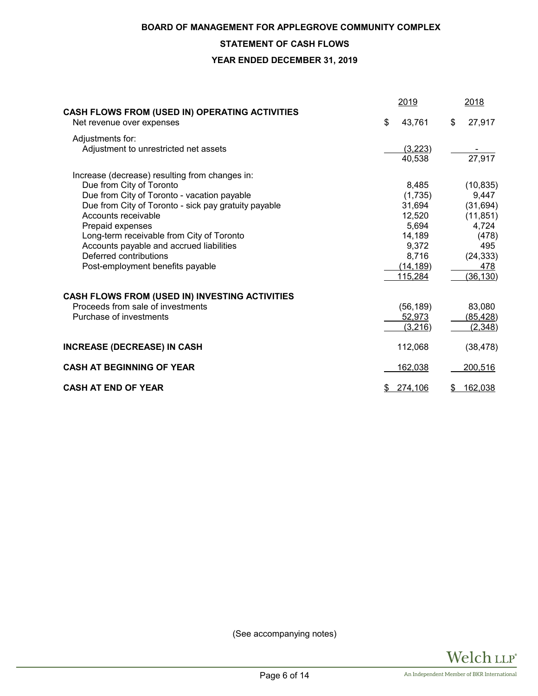## **STATEMENT OF CASH FLOWS**

## **YEAR ENDED DECEMBER 31, 2019**

|                                                                             | 2019          | 2018          |
|-----------------------------------------------------------------------------|---------------|---------------|
| CASH FLOWS FROM (USED IN) OPERATING ACTIVITIES<br>Net revenue over expenses | \$<br>43,761  | \$<br>27,917  |
| Adjustments for:                                                            |               |               |
| Adjustment to unrestricted net assets                                       | (3,223)       |               |
|                                                                             | 40,538        | 27,917        |
| Increase (decrease) resulting from changes in:                              |               |               |
| Due from City of Toronto                                                    | 8,485         | (10, 835)     |
| Due from City of Toronto - vacation payable                                 | (1,735)       | 9,447         |
| Due from City of Toronto - sick pay gratuity payable                        | 31,694        | (31, 694)     |
| Accounts receivable                                                         | 12,520        | (11, 851)     |
| Prepaid expenses                                                            | 5,694         | 4,724         |
| Long-term receivable from City of Toronto                                   | 14,189        | (478)         |
| Accounts payable and accrued liabilities                                    | 9,372         | 495           |
| Deferred contributions                                                      | 8,716         | (24, 333)     |
| Post-employment benefits payable                                            | (14, 189)     | 478           |
|                                                                             | 115,284       | (36, 130)     |
| <b>CASH FLOWS FROM (USED IN) INVESTING ACTIVITIES</b>                       |               |               |
| Proceeds from sale of investments                                           | (56, 189)     | 83,080        |
| Purchase of investments                                                     | 52,973        | (85, 428)     |
|                                                                             | (3,216)       | (2, 348)      |
|                                                                             |               |               |
| <b>INCREASE (DECREASE) IN CASH</b>                                          | 112,068       | (38, 478)     |
| <b>CASH AT BEGINNING OF YEAR</b>                                            | 162,038       | 200,516       |
| <b>CASH AT END OF YEAR</b>                                                  | \$<br>274,106 | \$<br>162,038 |

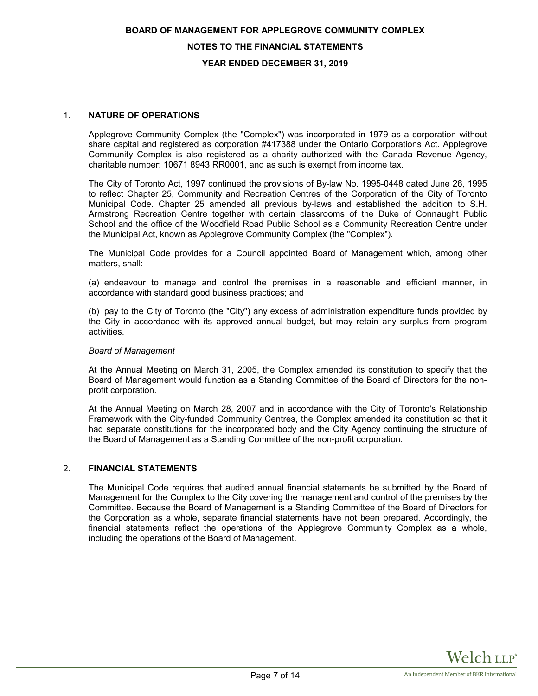#### **NOTES TO THE FINANCIAL STATEMENTS**

#### **YEAR ENDED DECEMBER 31, 2019**

#### 1. **NATURE OF OPERATIONS**

Applegrove Community Complex (the "Complex") was incorporated in 1979 as a corporation without share capital and registered as corporation #417388 under the Ontario Corporations Act. Applegrove Community Complex is also registered as a charity authorized with the Canada Revenue Agency, charitable number: 10671 8943 RR0001, and as such is exempt from income tax.

The City of Toronto Act, 1997 continued the provisions of By-law No. 1995-0448 dated June 26, 1995 to reflect Chapter 25, Community and Recreation Centres of the Corporation of the City of Toronto Municipal Code. Chapter 25 amended all previous by-laws and established the addition to S.H. Armstrong Recreation Centre together with certain classrooms of the Duke of Connaught Public School and the office of the Woodfield Road Public School as a Community Recreation Centre under the Municipal Act, known as Applegrove Community Complex (the "Complex").

The Municipal Code provides for a Council appointed Board of Management which, among other matters, shall:

(a) endeavour to manage and control the premises in a reasonable and efficient manner, in accordance with standard good business practices; and

(b) pay to the City of Toronto (the "City") any excess of administration expenditure funds provided by the City in accordance with its approved annual budget, but may retain any surplus from program activities.

#### *Board of Management*

At the Annual Meeting on March 31, 2005, the Complex amended its constitution to specify that the Board of Management would function as a Standing Committee of the Board of Directors for the nonprofit corporation.

At the Annual Meeting on March 28, 2007 and in accordance with the City of Toronto's Relationship Framework with the City-funded Community Centres, the Complex amended its constitution so that it had separate constitutions for the incorporated body and the City Agency continuing the structure of the Board of Management as a Standing Committee of the non-profit corporation.

#### 2. **FINANCIAL STATEMENTS**

The Municipal Code requires that audited annual financial statements be submitted by the Board of Management for the Complex to the City covering the management and control of the premises by the Committee. Because the Board of Management is a Standing Committee of the Board of Directors for the Corporation as a whole, separate financial statements have not been prepared. Accordingly, the financial statements reflect the operations of the Applegrove Community Complex as a whole, including the operations of the Board of Management.

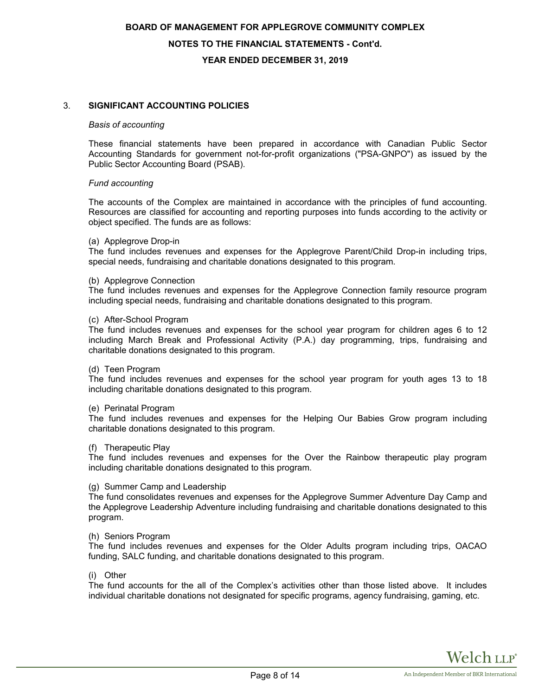## **BOARD OF MANAGEMENT FOR APPLEGROVE COMMUNITY COMPLEX NOTES TO THE FINANCIAL STATEMENTS - Cont'd. YEAR ENDED DECEMBER 31, 2019**

#### 3. **SIGNIFICANT ACCOUNTING POLICIES**

#### *Basis of accounting*

These financial statements have been prepared in accordance with Canadian Public Sector Accounting Standards for government not-for-profit organizations ("PSA-GNPO") as issued by the Public Sector Accounting Board (PSAB).

#### *Fund accounting*

The accounts of the Complex are maintained in accordance with the principles of fund accounting. Resources are classified for accounting and reporting purposes into funds according to the activity or object specified. The funds are as follows:

#### (a) Applegrove Drop-in

The fund includes revenues and expenses for the Applegrove Parent/Child Drop-in including trips, special needs, fundraising and charitable donations designated to this program.

#### (b) Applegrove Connection

The fund includes revenues and expenses for the Applegrove Connection family resource program including special needs, fundraising and charitable donations designated to this program.

#### (c) After-School Program

The fund includes revenues and expenses for the school year program for children ages 6 to 12 including March Break and Professional Activity (P.A.) day programming, trips, fundraising and charitable donations designated to this program.

#### (d) Teen Program

The fund includes revenues and expenses for the school year program for youth ages 13 to 18 including charitable donations designated to this program.

#### (e) Perinatal Program

The fund includes revenues and expenses for the Helping Our Babies Grow program including charitable donations designated to this program.

#### (f) Therapeutic Play

The fund includes revenues and expenses for the Over the Rainbow therapeutic play program including charitable donations designated to this program.

#### (g) Summer Camp and Leadership

The fund consolidates revenues and expenses for the Applegrove Summer Adventure Day Camp and the Applegrove Leadership Adventure including fundraising and charitable donations designated to this program.

#### (h) Seniors Program

The fund includes revenues and expenses for the Older Adults program including trips, OACAO funding, SALC funding, and charitable donations designated to this program.

#### (i) Other

The fund accounts for the all of the Complex's activities other than those listed above. It includes individual charitable donations not designated for specific programs, agency fundraising, gaming, etc.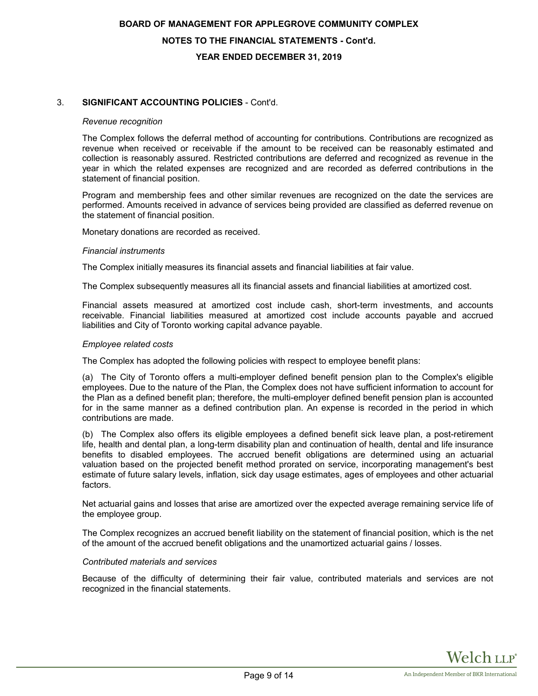# **BOARD OF MANAGEMENT FOR APPLEGROVE COMMUNITY COMPLEX NOTES TO THE FINANCIAL STATEMENTS - Cont'd. YEAR ENDED DECEMBER 31, 2019**

#### 3. **SIGNIFICANT ACCOUNTING POLICIES** - Cont'd.

#### *Revenue recognition*

The Complex follows the deferral method of accounting for contributions. Contributions are recognized as revenue when received or receivable if the amount to be received can be reasonably estimated and collection is reasonably assured. Restricted contributions are deferred and recognized as revenue in the year in which the related expenses are recognized and are recorded as deferred contributions in the statement of financial position.

Program and membership fees and other similar revenues are recognized on the date the services are performed. Amounts received in advance of services being provided are classified as deferred revenue on the statement of financial position.

Monetary donations are recorded as received.

#### *Financial instruments*

The Complex initially measures its financial assets and financial liabilities at fair value.

The Complex subsequently measures all its financial assets and financial liabilities at amortized cost.

Financial assets measured at amortized cost include cash, short-term investments, and accounts receivable. Financial liabilities measured at amortized cost include accounts payable and accrued liabilities and City of Toronto working capital advance payable.

#### *Employee related costs*

The Complex has adopted the following policies with respect to employee benefit plans:

(a) The City of Toronto offers a multi-employer defined benefit pension plan to the Complex's eligible employees. Due to the nature of the Plan, the Complex does not have sufficient information to account for the Plan as a defined benefit plan; therefore, the multi-employer defined benefit pension plan is accounted for in the same manner as a defined contribution plan. An expense is recorded in the period in which contributions are made.

(b) The Complex also offers its eligible employees a defined benefit sick leave plan, a post-retirement life, health and dental plan, a long-term disability plan and continuation of health, dental and life insurance benefits to disabled employees. The accrued benefit obligations are determined using an actuarial valuation based on the projected benefit method prorated on service, incorporating management's best estimate of future salary levels, inflation, sick day usage estimates, ages of employees and other actuarial factors.

Net actuarial gains and losses that arise are amortized over the expected average remaining service life of the employee group.

The Complex recognizes an accrued benefit liability on the statement of financial position, which is the net of the amount of the accrued benefit obligations and the unamortized actuarial gains / losses.

#### *Contributed materials and services*

Because of the difficulty of determining their fair value, contributed materials and services are not recognized in the financial statements.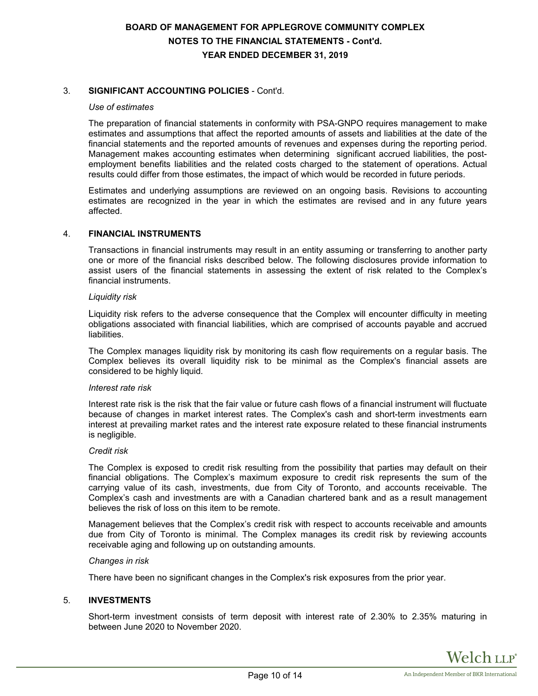## **BOARD OF MANAGEMENT FOR APPLEGROVE COMMUNITY COMPLEX NOTES TO THE FINANCIAL STATEMENTS - Cont'd. YEAR ENDED DECEMBER 31, 2019**

#### 3. **SIGNIFICANT ACCOUNTING POLICIES** - Cont'd.

#### *Use of estimates*

The preparation of financial statements in conformity with PSA-GNPO requires management to make estimates and assumptions that affect the reported amounts of assets and liabilities at the date of the financial statements and the reported amounts of revenues and expenses during the reporting period. Management makes accounting estimates when determining significant accrued liabilities, the postemployment benefits liabilities and the related costs charged to the statement of operations. Actual results could differ from those estimates, the impact of which would be recorded in future periods.

Estimates and underlying assumptions are reviewed on an ongoing basis. Revisions to accounting estimates are recognized in the year in which the estimates are revised and in any future years affected.

#### 4. **FINANCIAL INSTRUMENTS**

Transactions in financial instruments may result in an entity assuming or transferring to another party one or more of the financial risks described below. The following disclosures provide information to assist users of the financial statements in assessing the extent of risk related to the Complex's financial instruments.

#### *Liquidity risk*

Liquidity risk refers to the adverse consequence that the Complex will encounter difficulty in meeting obligations associated with financial liabilities, which are comprised of accounts payable and accrued liabilities.

The Complex manages liquidity risk by monitoring its cash flow requirements on a regular basis. The Complex believes its overall liquidity risk to be minimal as the Complex's financial assets are considered to be highly liquid.

#### *Interest rate risk*

Interest rate risk is the risk that the fair value or future cash flows of a financial instrument will fluctuate because of changes in market interest rates. The Complex's cash and short-term investments earn interest at prevailing market rates and the interest rate exposure related to these financial instruments is negligible.

#### *Credit risk*

The Complex is exposed to credit risk resulting from the possibility that parties may default on their financial obligations. The Complex's maximum exposure to credit risk represents the sum of the carrying value of its cash, investments, due from City of Toronto, and accounts receivable. The Complex's cash and investments are with a Canadian chartered bank and as a result management believes the risk of loss on this item to be remote.

Management believes that the Complex's credit risk with respect to accounts receivable and amounts due from City of Toronto is minimal. The Complex manages its credit risk by reviewing accounts receivable aging and following up on outstanding amounts.

#### *Changes in risk*

There have been no significant changes in the Complex's risk exposures from the prior year.

#### 5. **INVESTMENTS**

Short-term investment consists of term deposit with interest rate of 2.30% to 2.35% maturing in between June 2020 to November 2020.

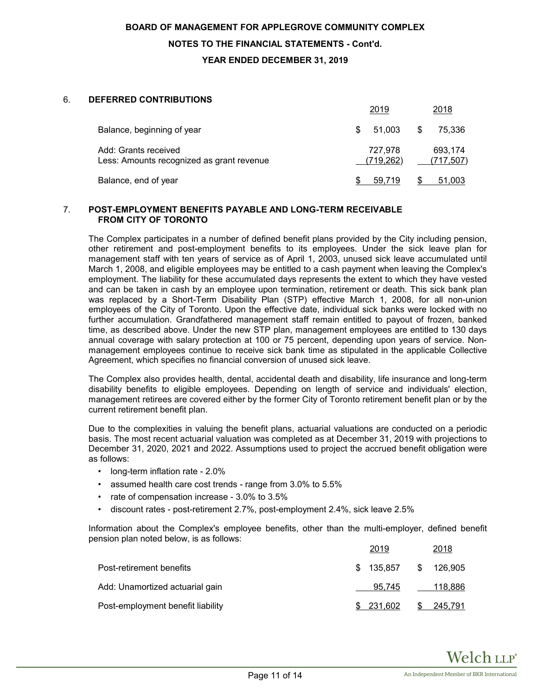#### **NOTES TO THE FINANCIAL STATEMENTS - Cont'd.**

**YEAR ENDED DECEMBER 31, 2019**

#### 6. **DEFERRED CONTRIBUTIONS**

|                                                                   | 2019                  | 2018                  |
|-------------------------------------------------------------------|-----------------------|-----------------------|
| Balance, beginning of year                                        | 51.003<br>S           | 75,336<br>S           |
| Add: Grants received<br>Less: Amounts recognized as grant revenue | 727.978<br>(719, 262) | 693,174<br>(717, 507) |
| Balance, end of year                                              | 59.719                | 51.003                |

#### 7. **POST-EMPLOYMENT BENEFITS PAYABLE AND LONG-TERM RECEIVABLE FROM CITY OF TORONTO**

The Complex participates in a number of defined benefit plans provided by the City including pension, other retirement and post-employment benefits to its employees. Under the sick leave plan for management staff with ten years of service as of April 1, 2003, unused sick leave accumulated until March 1, 2008, and eligible employees may be entitled to a cash payment when leaving the Complex's employment. The liability for these accumulated days represents the extent to which they have vested and can be taken in cash by an employee upon termination, retirement or death. This sick bank plan was replaced by a Short-Term Disability Plan (STP) effective March 1, 2008, for all non-union employees of the City of Toronto. Upon the effective date, individual sick banks were locked with no further accumulation. Grandfathered management staff remain entitled to payout of frozen, banked time, as described above. Under the new STP plan, management employees are entitled to 130 days annual coverage with salary protection at 100 or 75 percent, depending upon years of service. Nonmanagement employees continue to receive sick bank time as stipulated in the applicable Collective Agreement, which specifies no financial conversion of unused sick leave.

The Complex also provides health, dental, accidental death and disability, life insurance and long-term disability benefits to eligible employees. Depending on length of service and individuals' election, management retirees are covered either by the former City of Toronto retirement benefit plan or by the current retirement benefit plan.

Due to the complexities in valuing the benefit plans, actuarial valuations are conducted on a periodic basis. The most recent actuarial valuation was completed as at December 31, 2019 with projections to December 31, 2020, 2021 and 2022. Assumptions used to project the accrued benefit obligation were as follows:

- long-term inflation rate 2.0%
- assumed health care cost trends range from 3.0% to 5.5%
- rate of compensation increase 3.0% to 3.5%
- discount rates post-retirement 2.7%, post-employment 2.4%, sick leave 2.5%

Information about the Complex's employee benefits, other than the multi-employer, defined benefit pension plan noted below, is as follows:

|                                   | 2019       | 2018       |
|-----------------------------------|------------|------------|
| Post-retirement benefits          | \$135,857  | \$ 126,905 |
| Add: Unamortized actuarial gain   | 95.745     | 118,886    |
| Post-employment benefit liability | \$ 231.602 | 245.791    |

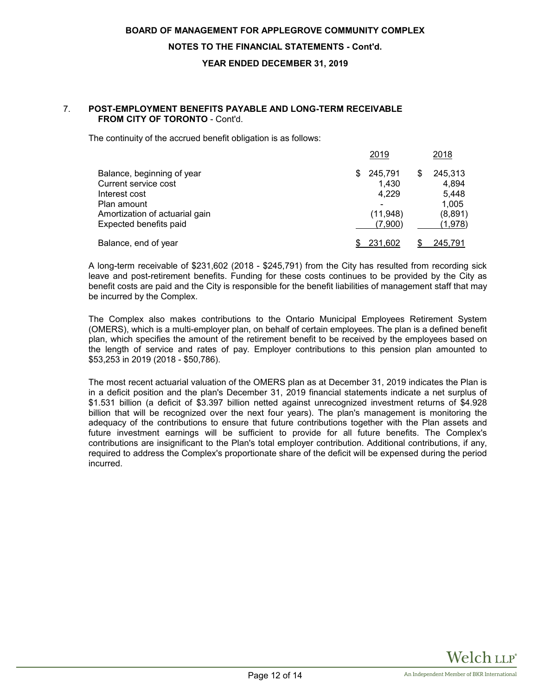#### **NOTES TO THE FINANCIAL STATEMENTS - Cont'd.**

#### **YEAR ENDED DECEMBER 31, 2019**

#### 7. **POST-EMPLOYMENT BENEFITS PAYABLE AND LONG-TERM RECEIVABLE FROM CITY OF TORONTO** - Cont'd.

The continuity of the accrued benefit obligation is as follows:

|                                | 2019         | 2018         |
|--------------------------------|--------------|--------------|
| Balance, beginning of year     | 245,791<br>S | 245,313<br>S |
| Current service cost           | 1.430        | 4,894        |
| Interest cost                  | 4.229        | 5,448        |
| Plan amount                    |              | 1,005        |
| Amortization of actuarial gain | (11, 948)    | (8,891)      |
| Expected benefits paid         | (7,900)      | (1,978)      |
| Balance, end of year           | 231,602      | 245,791      |

A long-term receivable of \$231,602 (2018 - \$245,791) from the City has resulted from recording sick leave and post-retirement benefits. Funding for these costs continues to be provided by the City as benefit costs are paid and the City is responsible for the benefit liabilities of management staff that may be incurred by the Complex.

The Complex also makes contributions to the Ontario Municipal Employees Retirement System (OMERS), which is a multi-employer plan, on behalf of certain employees. The plan is a defined benefit plan, which specifies the amount of the retirement benefit to be received by the employees based on the length of service and rates of pay. Employer contributions to this pension plan amounted to \$53,253 in 2019 (2018 - \$50,786).

The most recent actuarial valuation of the OMERS plan as at December 31, 2019 indicates the Plan is in a deficit position and the plan's December 31, 2019 financial statements indicate a net surplus of \$1.531 billion (a deficit of \$3.397 billion netted against unrecognized investment returns of \$4.928 billion that will be recognized over the next four years). The plan's management is monitoring the adequacy of the contributions to ensure that future contributions together with the Plan assets and future investment earnings will be sufficient to provide for all future benefits. The Complex's contributions are insignificant to the Plan's total employer contribution. Additional contributions, if any, required to address the Complex's proportionate share of the deficit will be expensed during the period incurred.

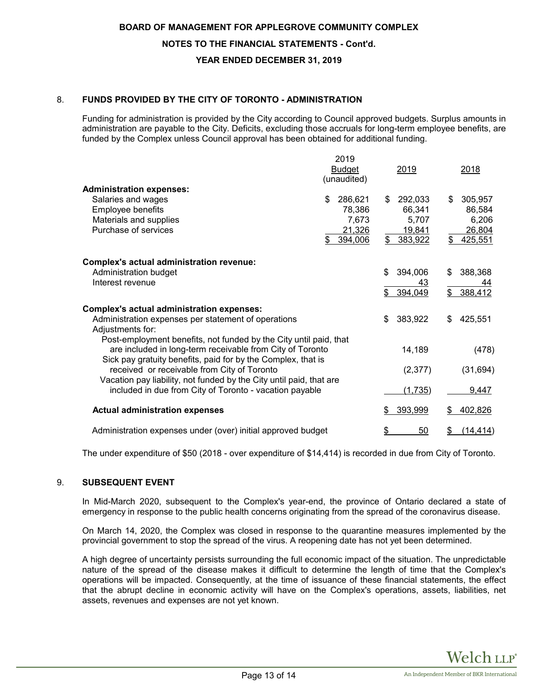#### **NOTES TO THE FINANCIAL STATEMENTS - Cont'd.**

#### **YEAR ENDED DECEMBER 31, 2019**

#### 8. **FUNDS PROVIDED BY THE CITY OF TORONTO - ADMINISTRATION**

Funding for administration is provided by the City according to Council approved budgets. Surplus amounts in administration are payable to the City. Deficits, excluding those accruals for long-term employee benefits, are funded by the Complex unless Council approval has been obtained for additional funding.

|                                                                                                                                                                                                | 2019<br><b>Budget</b><br>(unaudited)                        | 2019                                                        | 2018                                                        |
|------------------------------------------------------------------------------------------------------------------------------------------------------------------------------------------------|-------------------------------------------------------------|-------------------------------------------------------------|-------------------------------------------------------------|
| <b>Administration expenses:</b>                                                                                                                                                                |                                                             |                                                             |                                                             |
| Salaries and wages<br>Employee benefits<br>Materials and supplies<br>Purchase of services                                                                                                      | \$<br>286,621<br>78,386<br>7,673<br>21,326<br>394,006<br>\$ | 292,033<br>\$<br>66,341<br>5,707<br>19,841<br>\$<br>383,922 | 305,957<br>\$<br>86,584<br>6,206<br>26,804<br>425,551<br>\$ |
| <b>Complex's actual administration revenue:</b>                                                                                                                                                |                                                             |                                                             |                                                             |
| Administration budget                                                                                                                                                                          |                                                             | 394,006<br>\$                                               | 388,368<br>\$                                               |
| Interest revenue                                                                                                                                                                               |                                                             | 43<br>394,049<br>\$                                         | 44<br>\$<br>388,412                                         |
| <b>Complex's actual administration expenses:</b>                                                                                                                                               |                                                             |                                                             |                                                             |
| Administration expenses per statement of operations<br>Adjustments for:                                                                                                                        |                                                             | 383,922<br>\$                                               | \$<br>425,551                                               |
| Post-employment benefits, not funded by the City until paid, that<br>are included in long-term receivable from City of Toronto<br>Sick pay gratuity benefits, paid for by the Complex, that is |                                                             | 14,189                                                      | (478)                                                       |
| received or receivable from City of Toronto<br>Vacation pay liability, not funded by the City until paid, that are                                                                             |                                                             | (2, 377)                                                    | (31, 694)                                                   |
| included in due from City of Toronto - vacation payable                                                                                                                                        |                                                             | (1,735)                                                     | 9,447                                                       |
| <b>Actual administration expenses</b>                                                                                                                                                          |                                                             | 393,999<br>\$                                               | 402,826<br>\$                                               |
| Administration expenses under (over) initial approved budget                                                                                                                                   |                                                             | \$<br>50                                                    | \$<br>(14, 414)                                             |

The under expenditure of \$50 (2018 - over expenditure of \$14,414) is recorded in due from City of Toronto.

#### 9. **SUBSEQUENT EVENT**

In Mid-March 2020, subsequent to the Complex's year-end, the province of Ontario declared a state of emergency in response to the public health concerns originating from the spread of the coronavirus disease.

On March 14, 2020, the Complex was closed in response to the quarantine measures implemented by the provincial government to stop the spread of the virus. A reopening date has not yet been determined.

A high degree of uncertainty persists surrounding the full economic impact of the situation. The unpredictable nature of the spread of the disease makes it difficult to determine the length of time that the Complex's operations will be impacted. Consequently, at the time of issuance of these financial statements, the effect that the abrupt decline in economic activity will have on the Complex's operations, assets, liabilities, net assets, revenues and expenses are not yet known.